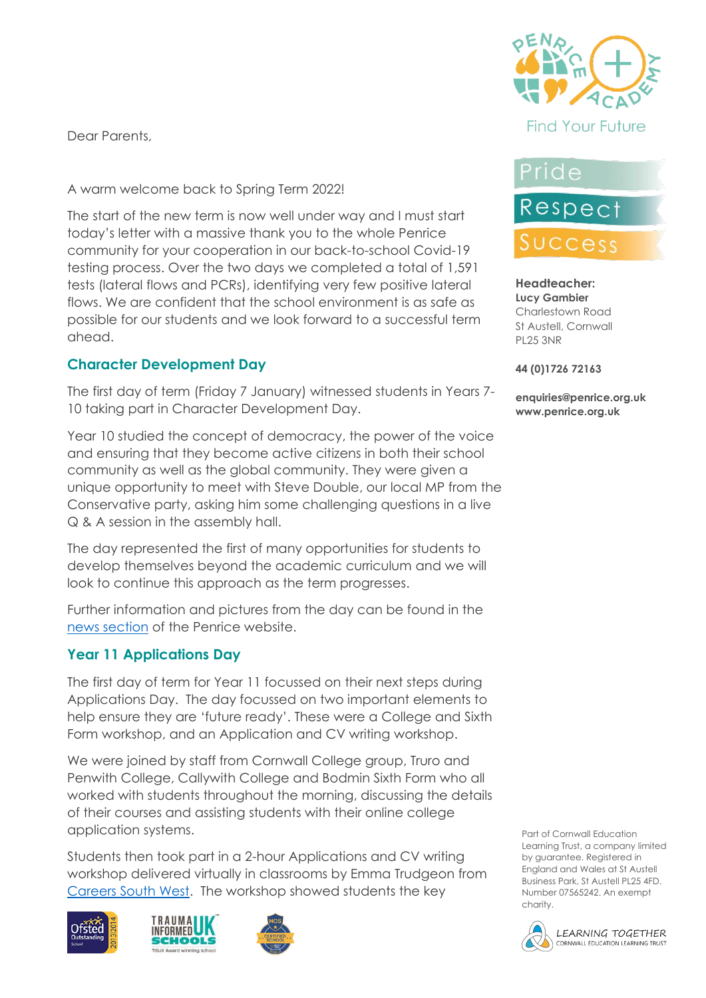Dear Parents,

A warm welcome back to Spring Term 2022!

The start of the new term is now well under way and I must start today's letter with a massive thank you to the whole Penrice community for your cooperation in our back-to-school Covid-19 testing process. Over the two days we completed a total of 1,591 tests (lateral flows and PCRs), identifying very few positive lateral flows. We are confident that the school environment is as safe as possible for our students and we look forward to a successful term ahead.

#### **Character Development Day**

The first day of term (Friday 7 January) witnessed students in Years 7- 10 taking part in Character Development Day.

Year 10 studied the concept of democracy, the power of the voice and ensuring that they become active citizens in both their school community as well as the global community. They were given a unique opportunity to meet with Steve Double, our local MP from the Conservative party, asking him some challenging questions in a live Q & A session in the assembly hall.

The day represented the first of many opportunities for students to develop themselves beyond the academic curriculum and we will look to continue this approach as the term progresses.

Further information and pictures from the day can be found in the [news section](https://www.penriceacademy.org/character-development-day-kickstarts-the-spring-term) of the Penrice website.

#### **Year 11 Applications Day**

The first day of term for Year 11 focussed on their next steps during Applications Day. The day focussed on two important elements to help ensure they are 'future ready'. These were a College and Sixth Form workshop, and an Application and CV writing workshop.

We were joined by staff from Cornwall College group, Truro and Penwith College, Callywith College and Bodmin Sixth Form who all worked with students throughout the morning, discussing the details of their courses and assisting students with their online college application systems.

Students then took part in a 2-hour Applications and CV writing workshop delivered virtually in classrooms by Emma Trudgeon from [Careers South West.](https://cswgroup.co.uk/home/education/) The workshop showed students the key









# Pride

# Respect Success

#### **Headteacher: Lucy Gambier** Charlestown Road St Austell, Cornwall PL25 3NR

#### **44 (0)1726 72163**

**enquiries@penrice.org.uk www.penrice.org.uk**

Part of Cornwall Education Learning Trust, a company limited by guarantee. Registered in England and Wales at St Austell Business Park, St Austell PL25 4FD. Number 07565242. An exempt charity.

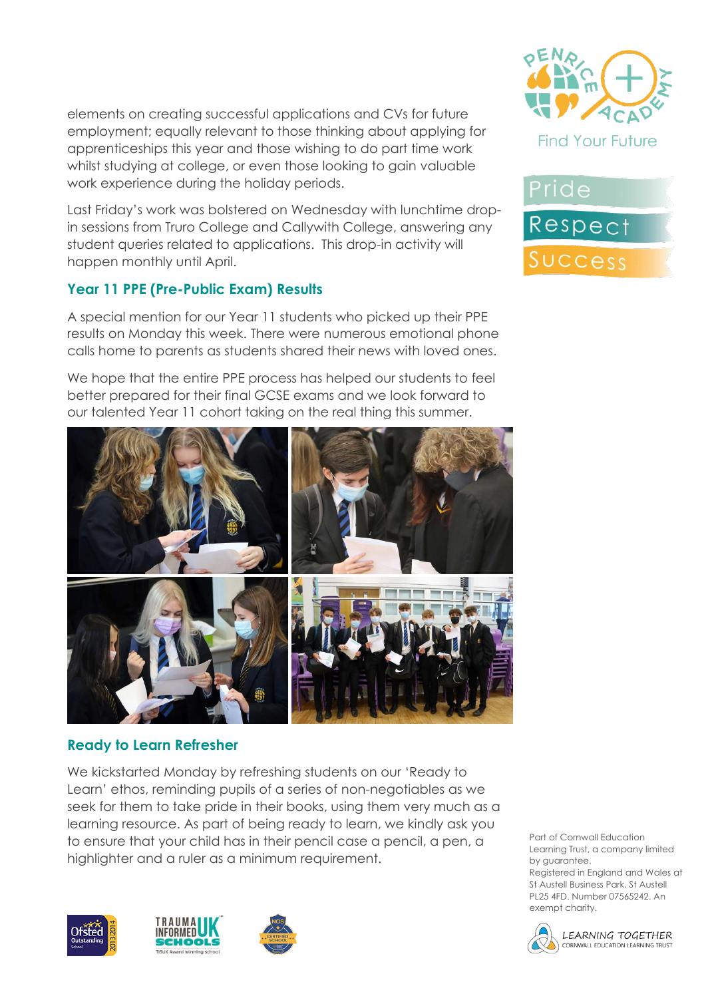elements on creating successful applications and CVs for future employment; equally relevant to those thinking about applying for apprenticeships this year and those wishing to do part time work whilst studying at college, or even those looking to gain valuable work experience during the holiday periods.

Last Friday's work was bolstered on Wednesday with lunchtime dropin sessions from Truro College and Callywith College, answering any student queries related to applications. This drop-in activity will happen monthly until April.

#### **Year 11 PPE (Pre-Public Exam) Results**

A special mention for our Year 11 students who picked up their PPE results on Monday this week. There were numerous emotional phone calls home to parents as students shared their news with loved ones.

We hope that the entire PPE process has helped our students to feel better prepared for their final GCSE exams and we look forward to our talented Year 11 cohort taking on the real thing this summer.



#### **Ready to Learn Refresher**

We kickstarted Monday by refreshing students on our 'Ready to Learn' ethos, reminding pupils of a series of non-negotiables as we seek for them to take pride in their books, using them very much as a learning resource. As part of being ready to learn, we kindly ask you to ensure that your child has in their pencil case a pencil, a pen, a highlighter and a ruler as a minimum requirement.









Pride Respect Success

Part of Cornwall Education Learning Trust, a company limited by guarantee.

Registered in England and Wales at St Austell Business Park, St Austell PL25 4FD. Number 07565242. An exempt charity.

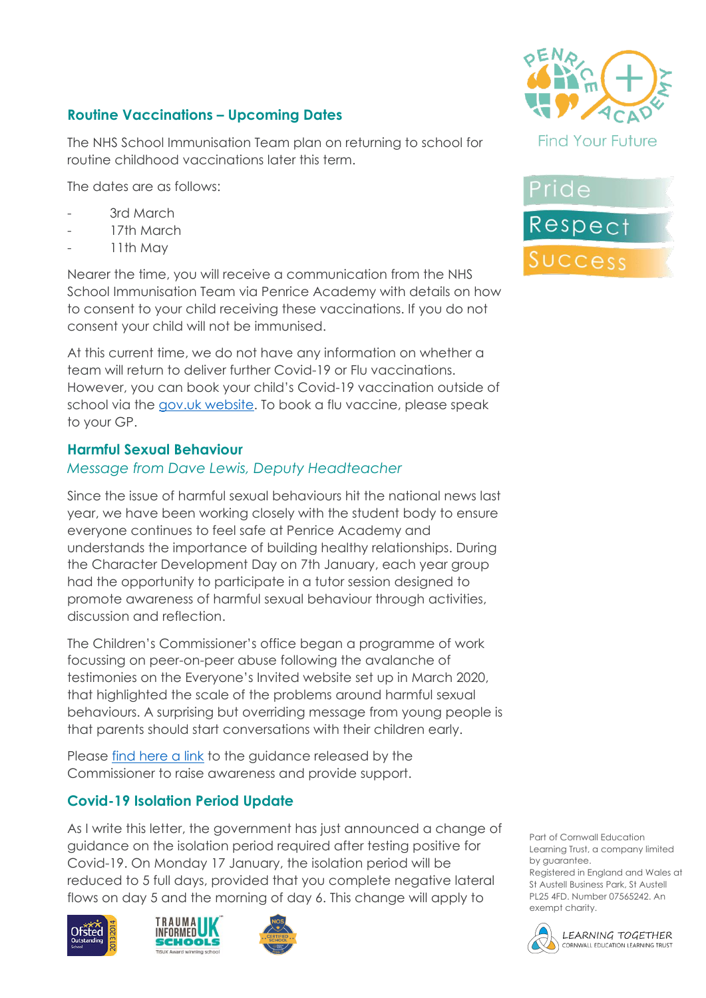### **Routine Vaccinations – Upcoming Dates**

The NHS School Immunisation Team plan on returning to school for routine childhood vaccinations later this term.

The dates are as follows:

- 3rd March
- 17th March
- 11th May

Nearer the time, you will receive a communication from the NHS School Immunisation Team via Penrice Academy with details on how to consent to your child receiving these vaccinations. If you do not consent your child will not be immunised.

At this current time, we do not have any information on whether a team will return to deliver further Covid-19 or Flu vaccinations. However, you can book your child's Covid-19 vaccination outside of school via the [gov.uk website.](https://www.nhs.uk/conditions/coronavirus-covid-19/coronavirus-vaccination/book-coronavirus-vaccination/) To book a flu vaccine, please speak to your GP.

#### **Harmful Sexual Behaviour**

#### *Message from Dave Lewis, Deputy Headteacher*

Since the issue of harmful sexual behaviours hit the national news last year, we have been working closely with the student body to ensure everyone continues to feel safe at Penrice Academy and understands the importance of building healthy relationships. During the Character Development Day on 7th January, each year group had the opportunity to participate in a tutor session designed to promote awareness of harmful sexual behaviour through activities, discussion and reflection.

The Children's Commissioner's office began a programme of work focussing on peer-on-peer abuse following the avalanche of testimonies on the Everyone's Invited website set up in March 2020, that highlighted the scale of the problems around harmful sexual behaviours. A surprising but overriding message from young people is that parents should start conversations with their children early.

Please [find here a link](https://www.childrenscommissioner.gov.uk/report/talking-to-your-child-about-online-sexual-harassment-a-guide-for-parents/?utm_source=16%20December%202021%20C19&utm_medium=Daily%20Email%20C19&utm_campaign=DfE%20C19) to the guidance released by the Commissioner to raise awareness and provide support.

#### **Covid-19 Isolation Period Update**

As I write this letter, the government has just announced a change of guidance on the isolation period required after testing positive for Covid-19. On Monday 17 January, the isolation period will be reduced to 5 full days, provided that you complete negative lateral flows on day 5 and the morning of day 6. This change will apply to











Part of Cornwall Education Learning Trust, a company limited by guarantee.

Registered in England and Wales at St Austell Business Park, St Austell PL25 4FD. Number 07565242. An exempt charity.

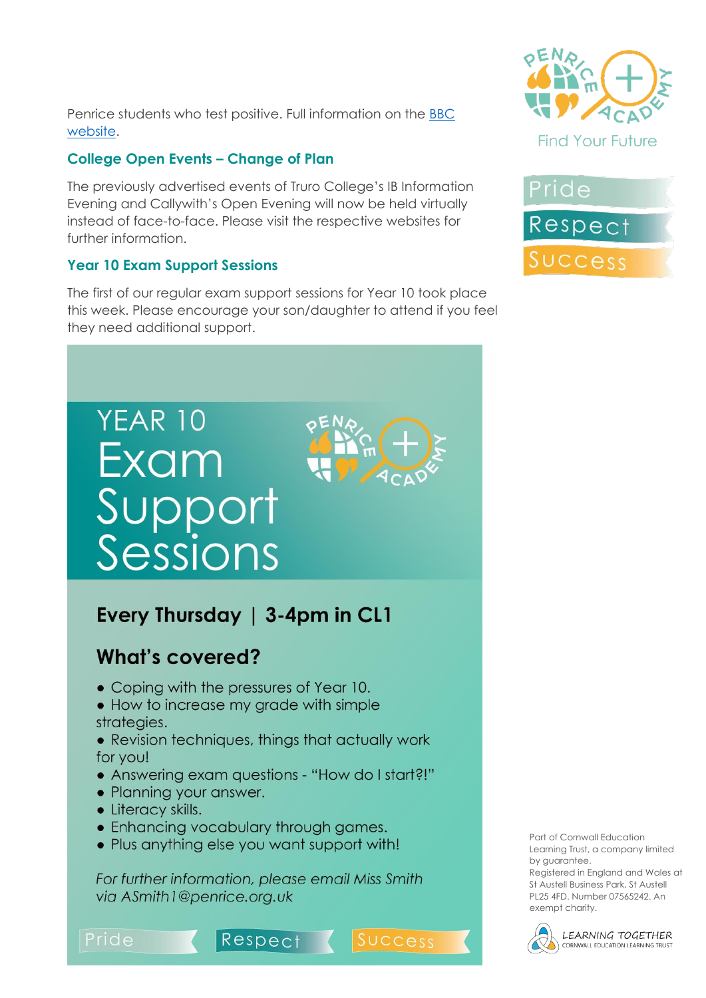Penrice students who test positive. Full information on the [BBC](https://www.bbc.co.uk/news/uk-59980505)  [website.](https://www.bbc.co.uk/news/uk-59980505)

#### **College Open Events – Change of Plan**

The previously advertised events of Truro College's IB Information Evening and Callywith's Open Evening will now be held virtually instead of face-to-face. Please visit the respective websites for further information.

#### **Year 10 Exam Support Sessions**

The first of our regular exam support sessions for Year 10 took place this week. Please encourage your son/daughter to attend if you feel they need additional support.



## Every Thursday | 3-4pm in CL1

## What's covered?

- Coping with the pressures of Year 10.
- How to increase my grade with simple strategies.
- Revision techniques, things that actually work for you!
- Answering exam questions "How do I start?!"
- Planning your answer.
- Literacy skills.
- Enhancing vocabulary through games.
- Plus anything else you want support with!

For further information, please email Miss Smith via ASmith1@penrice.org.uk







Part of Cornwall Education Learning Trust, a company limited by guarantee.

Registered in England and Wales at St Austell Business Park, St Austell PL25 4FD. Number 07565242. An exempt charity.



**LEARNING TOGETHER** CORNWALL EDUCATION LEARNING TRUST